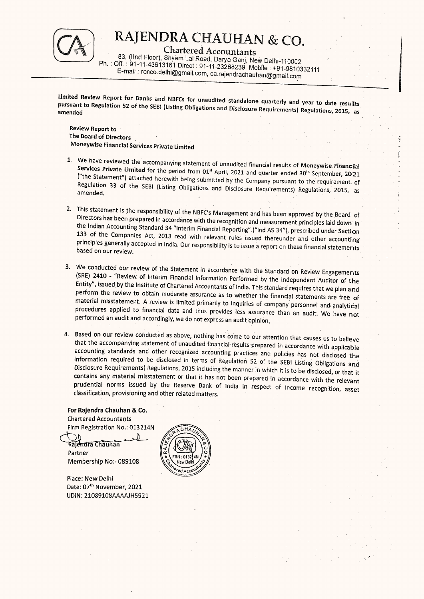$\begin{matrix}\textbf{RAJENDRA CHAUHAN & CO.}\\ \textbf{Charactered Accountants}\\ \textbf{Ph. : Off. : 91-11-43613161 Direct: 91-11-23268239 Mobile : +91-9810332111}\\ \textbf{Email : encodedphiQgmail.com, ca.rajendrachauhanQgmail.com}\end{matrix}$ 

pursuant Limited Review Report for Banks and NBFCs for unaudited standalone quarterly and year to date results pursuant to Regulation 52 of the SEBI (Listing Obligations and Disclosure Requirements) Regulations, 2015, as<br>amended

**Review Report to** The Board of Directors | Moneywise Financial Services Private Limited

1. We have reviewed the accompanying statement of unaudited financial results of Moneywise Financial Services Private Limited for the period from 01<sup>st</sup> April, 2021 and quarter ended  $30^{th}$  September, 2021 ("the Statemen

Porm bog

- 2. This statement is the responsibility of the NBFC's Management and has been approved by the Board of Directors has been prepared in accordance with the recognition and measurement principles laid down in the Indian Accou
- 3. We conducted our review of the Statement in accordance with the Standard on Review Engagements (SRE) 2410 "Review of Interim Financial Information Performed by the Independent Auditor of the Entity", issued by the Ins
- 4. Based on our review conducted as above, nothing has come to our attention that causes us to believe<br>that the accompanying statement of unaudited financial results prepared in accordance with applicable<br>accounting standa

For Rajendra Chauhan & Co. Chartered Accountants Firm Registration No.: 013214N

Rajendra Chauhan Partner Membership No:- 089108

Place: New Delhi Date: 07<sup>th</sup> November, 2021 UDIN: 21089108AAAAJH5921

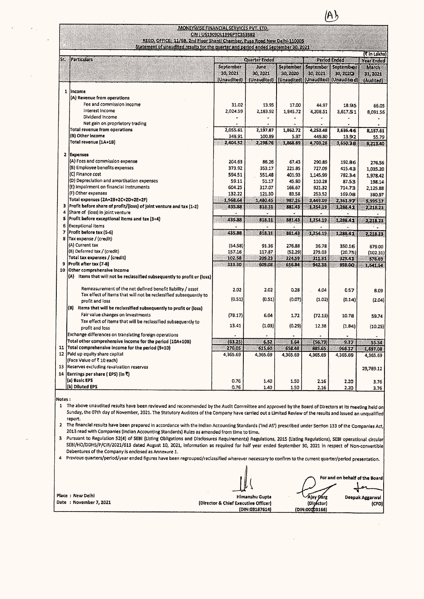|                                                                                                                                                                 | MONEYWISE FINANCIAL SERVICES PVT. LTD.<br>CIN : U51909DL1996PTC353582 |                                 |                       |                       | A)                                                          |                                               |
|-----------------------------------------------------------------------------------------------------------------------------------------------------------------|-----------------------------------------------------------------------|---------------------------------|-----------------------|-----------------------|-------------------------------------------------------------|-----------------------------------------------|
| REGD, OFFICE: 11/6B, 2nd Floor Shanti Chamber, Pusa Road New Delhi-110005<br>Statement of unaudited results for the quarter and period ended September 30, 2021 |                                                                       |                                 |                       |                       |                                                             |                                               |
| <b>Particulars</b>                                                                                                                                              | <b>Quarter Ended</b>                                                  |                                 |                       | <b>Period Ended</b>   |                                                             | <b><i>E</i></b> in Lakhs<br><b>Year Ended</b> |
|                                                                                                                                                                 | September<br>30, 2021<br>(Unaudited)                                  | June<br>30, 2021<br>(Unaudited) | September<br>30, 2020 | September<br>30, 2021 | September<br>30,2020<br>(Unaudited) (Unaudited) (Unaudited) | March<br>31, 2021<br>(Audited)                |
| Income                                                                                                                                                          |                                                                       |                                 |                       |                       |                                                             |                                               |
| (A) Revenue from operations                                                                                                                                     |                                                                       |                                 |                       |                       |                                                             |                                               |
| Fee and commission income                                                                                                                                       | 31.02                                                                 | 13.95                           | 17.00                 | 44.97                 | 18.95                                                       | 66.05                                         |
| Interest Income                                                                                                                                                 | 2,024.59                                                              | 2,183.92                        | 1,845.72              | 4,208.51              | 3,617.51                                                    | 8,091.56                                      |
| Dividend income                                                                                                                                                 |                                                                       |                                 |                       |                       |                                                             |                                               |
| Net gain on proprietory trading<br>Total revenue from operations                                                                                                |                                                                       |                                 |                       |                       |                                                             |                                               |
| (B) Other income                                                                                                                                                | 2,055.61<br>348.91                                                    | 2,197.87<br>100.89              | 1,862.72<br>5.97      | 4,253.48<br>449.80    | 3,636.46<br>13.92                                           | 8,157.61                                      |
| Total revenue (1A+1B)                                                                                                                                           | 2.404.52                                                              | 2.298.76                        | 1.868.69              | 4.703.28              | 3.650.38                                                    | 55.79<br>8.213.40                             |

|                                                                                                                                                                                                                                                                                                                                                                                                                                                                                                                                                                                                                                                                                                                                                                                                                                                                                                                         |                                                                                                                                                                                                                | September<br>30, 2021                | June<br>30, 2021   | September<br>30, 2020 | September<br>30, 2021        | September<br>30, 202Q             | March<br>31, 2021    |
|-------------------------------------------------------------------------------------------------------------------------------------------------------------------------------------------------------------------------------------------------------------------------------------------------------------------------------------------------------------------------------------------------------------------------------------------------------------------------------------------------------------------------------------------------------------------------------------------------------------------------------------------------------------------------------------------------------------------------------------------------------------------------------------------------------------------------------------------------------------------------------------------------------------------------|----------------------------------------------------------------------------------------------------------------------------------------------------------------------------------------------------------------|--------------------------------------|--------------------|-----------------------|------------------------------|-----------------------------------|----------------------|
|                                                                                                                                                                                                                                                                                                                                                                                                                                                                                                                                                                                                                                                                                                                                                                                                                                                                                                                         |                                                                                                                                                                                                                | (Unaudited)                          | (Unaudited)        | (Unaudited)           |                              | (Unaudited) (Unaudited)           | (Audited)            |
|                                                                                                                                                                                                                                                                                                                                                                                                                                                                                                                                                                                                                                                                                                                                                                                                                                                                                                                         | 1 Income                                                                                                                                                                                                       |                                      |                    |                       |                              |                                   |                      |
|                                                                                                                                                                                                                                                                                                                                                                                                                                                                                                                                                                                                                                                                                                                                                                                                                                                                                                                         | (A) Revenue from operations<br>Fee and commission income                                                                                                                                                       | 31.02                                | 13.95              | 17.00                 | 44.97                        | 18.95                             | 66.05                |
|                                                                                                                                                                                                                                                                                                                                                                                                                                                                                                                                                                                                                                                                                                                                                                                                                                                                                                                         | Interest Income                                                                                                                                                                                                | 2,024.59                             | 2,183.92           | 1,845.72              | 4,208.51                     | 3,617.51                          | 8,091.56             |
|                                                                                                                                                                                                                                                                                                                                                                                                                                                                                                                                                                                                                                                                                                                                                                                                                                                                                                                         | Dividend income                                                                                                                                                                                                |                                      |                    |                       |                              |                                   |                      |
|                                                                                                                                                                                                                                                                                                                                                                                                                                                                                                                                                                                                                                                                                                                                                                                                                                                                                                                         | Net gain on proprietory trading<br>Total revenue from operations                                                                                                                                               | 2,055.61                             | 2,197.87           | 1,862.72              | 4,253.48                     | 3,636.46                          | 8,157.61             |
|                                                                                                                                                                                                                                                                                                                                                                                                                                                                                                                                                                                                                                                                                                                                                                                                                                                                                                                         | (B) Other income                                                                                                                                                                                               | 348.91                               | 100.89             | 5.97                  | 449.80                       | 13.92                             | 55.79                |
|                                                                                                                                                                                                                                                                                                                                                                                                                                                                                                                                                                                                                                                                                                                                                                                                                                                                                                                         | Total revenue (1A+1B)                                                                                                                                                                                          | 2,404.52                             | 2,298.76           | 1,868.69              | 4,703,28                     | 3,650.38                          | 8,213,40             |
|                                                                                                                                                                                                                                                                                                                                                                                                                                                                                                                                                                                                                                                                                                                                                                                                                                                                                                                         | 2 Expenses                                                                                                                                                                                                     |                                      |                    |                       |                              |                                   |                      |
|                                                                                                                                                                                                                                                                                                                                                                                                                                                                                                                                                                                                                                                                                                                                                                                                                                                                                                                         | (A) Fees and commission expense                                                                                                                                                                                | 204.63                               | 86.26              | 67.43                 | 290.89                       | 192.86                            | 276,56               |
|                                                                                                                                                                                                                                                                                                                                                                                                                                                                                                                                                                                                                                                                                                                                                                                                                                                                                                                         | (B) Employee benefits expenses<br>(C) Finance cost                                                                                                                                                             | 373.92<br>594.51                     | 353.17<br>551.48   | 221.85<br>401.93      | 727.09<br>1,145.99           | 415.43<br>782.34                  | 1,035.20             |
|                                                                                                                                                                                                                                                                                                                                                                                                                                                                                                                                                                                                                                                                                                                                                                                                                                                                                                                         | (D) Depreciation and amortisation expenses                                                                                                                                                                     | 59.11                                | 51.17              | 45,80                 | 110.28                       | 87.53                             | 1,978.42<br>198.14   |
|                                                                                                                                                                                                                                                                                                                                                                                                                                                                                                                                                                                                                                                                                                                                                                                                                                                                                                                         | (E) Impairment on financial instruments                                                                                                                                                                        | 604.25                               | 317.07             | 166.67                | 921.32                       | 714.73                            | 2,125.88             |
|                                                                                                                                                                                                                                                                                                                                                                                                                                                                                                                                                                                                                                                                                                                                                                                                                                                                                                                         | (F) Other expenses<br>Total expenses (2A+2B+2C+2D+2E+2F)                                                                                                                                                       | 132.22<br>1,968.64                   | 121.30<br>1,480.45 | 83.58<br>987.26       | 253.52<br>3,449.09           | 169.08<br>2,361.97                | 380.97<br>5,995.17   |
| з                                                                                                                                                                                                                                                                                                                                                                                                                                                                                                                                                                                                                                                                                                                                                                                                                                                                                                                       | Profit before share of profit/(loss) of joint venture and tax (1-2)                                                                                                                                            | 435.88                               | 818.31             | 881,43                | 1,254.19                     | 1,288.41                          | 2,218.23             |
| 4<br>5                                                                                                                                                                                                                                                                                                                                                                                                                                                                                                                                                                                                                                                                                                                                                                                                                                                                                                                  | Share of (loss) in joint venture<br>Profit before exceptional items and tax (3+4)                                                                                                                              |                                      |                    |                       |                              |                                   |                      |
| 6                                                                                                                                                                                                                                                                                                                                                                                                                                                                                                                                                                                                                                                                                                                                                                                                                                                                                                                       | <b>Exceptional items</b>                                                                                                                                                                                       | 435.88                               | 818.31             | 881.43                | 1,254.19                     | 1,288.41<br>$\tilde{\phantom{a}}$ | 2,218.23<br>۰.       |
| 7                                                                                                                                                                                                                                                                                                                                                                                                                                                                                                                                                                                                                                                                                                                                                                                                                                                                                                                       | Profit before tax (5-6)                                                                                                                                                                                        | 435.88                               | 818.31             | 881.43                | 1,254.19                     | 1,288.41                          | 2,218.23             |
| 8                                                                                                                                                                                                                                                                                                                                                                                                                                                                                                                                                                                                                                                                                                                                                                                                                                                                                                                       | Tax expense / (credit)                                                                                                                                                                                         |                                      |                    |                       |                              |                                   |                      |
|                                                                                                                                                                                                                                                                                                                                                                                                                                                                                                                                                                                                                                                                                                                                                                                                                                                                                                                         | (A) Current tax<br>(B) Deferred tax / (credit)                                                                                                                                                                 | (54.58)<br>157.16                    | 91.36<br>117.87    | 276.88<br>(52.29)     | 36.78<br>275.03              | 350.16<br>(20.75)                 | 679.00<br>(102.31)   |
|                                                                                                                                                                                                                                                                                                                                                                                                                                                                                                                                                                                                                                                                                                                                                                                                                                                                                                                         | Total tax expenses / (credit)                                                                                                                                                                                  | 102.58                               | 209.23             | 224.59                | 311.81                       | 329.41                            | 576.69               |
| 9<br>10                                                                                                                                                                                                                                                                                                                                                                                                                                                                                                                                                                                                                                                                                                                                                                                                                                                                                                                 | Profit after tax (7-8)<br>Other comprehensive income                                                                                                                                                           | 333.30                               | 609.08             | 656.84                | 942.38                       | 959.00                            | 1,641.54             |
|                                                                                                                                                                                                                                                                                                                                                                                                                                                                                                                                                                                                                                                                                                                                                                                                                                                                                                                         | (A) Items that will not be reclassified subsequently to profit or (loss)                                                                                                                                       |                                      |                    |                       |                              |                                   |                      |
|                                                                                                                                                                                                                                                                                                                                                                                                                                                                                                                                                                                                                                                                                                                                                                                                                                                                                                                         |                                                                                                                                                                                                                |                                      |                    |                       |                              |                                   |                      |
|                                                                                                                                                                                                                                                                                                                                                                                                                                                                                                                                                                                                                                                                                                                                                                                                                                                                                                                         | Remeasurement of the net defined benefit liability / asset<br>Tax effect of items that will not be reclassified subsequently to                                                                                | 2.02                                 | 2.02               | 0.28                  | 4.04                         | 0.57                              | 8.09                 |
|                                                                                                                                                                                                                                                                                                                                                                                                                                                                                                                                                                                                                                                                                                                                                                                                                                                                                                                         | profit and loss                                                                                                                                                                                                | (0.51)                               | (0.51)             | (0.07)                | (1.02)                       | (0.14)                            | (2.04)               |
|                                                                                                                                                                                                                                                                                                                                                                                                                                                                                                                                                                                                                                                                                                                                                                                                                                                                                                                         | (B) Items that will be reclassified subsequently to profit or (loss)                                                                                                                                           |                                      |                    |                       |                              |                                   |                      |
|                                                                                                                                                                                                                                                                                                                                                                                                                                                                                                                                                                                                                                                                                                                                                                                                                                                                                                                         | Fair value changes on investments<br>Tax effect of Items that will be reclassified subsequently to                                                                                                             | (78.17)                              | 6.04               | 1.72                  | (72.13)                      | 10.78                             | 59.74                |
|                                                                                                                                                                                                                                                                                                                                                                                                                                                                                                                                                                                                                                                                                                                                                                                                                                                                                                                         | profit and loss                                                                                                                                                                                                | 13.41                                | (1.03)             | (0.29)                | 12.38                        | (1.84)                            | (10.25)              |
|                                                                                                                                                                                                                                                                                                                                                                                                                                                                                                                                                                                                                                                                                                                                                                                                                                                                                                                         | Exchange differences on translating foreign operations                                                                                                                                                         |                                      |                    |                       |                              |                                   |                      |
| 11                                                                                                                                                                                                                                                                                                                                                                                                                                                                                                                                                                                                                                                                                                                                                                                                                                                                                                                      | Total other comprehensive income for the period (10A+10B)<br>Total comprehensive income for the period (9+10)                                                                                                  | (63.25)<br>270.05                    | 6.52<br>615.60     | 1.64<br>658.48        | (56.73)<br>885.65            | 9.37                              | 55.54                |
| 12                                                                                                                                                                                                                                                                                                                                                                                                                                                                                                                                                                                                                                                                                                                                                                                                                                                                                                                      | Paid up equity share capital                                                                                                                                                                                   | 4,365.69                             | 4,365.69           | 4,365.69              | 4,365.69                     | 968.37<br>4,365.69                | 1,697.08<br>4,365.69 |
|                                                                                                                                                                                                                                                                                                                                                                                                                                                                                                                                                                                                                                                                                                                                                                                                                                                                                                                         | (Face Value of ₹ 10 each)                                                                                                                                                                                      |                                      |                    |                       |                              |                                   |                      |
| 13<br>14                                                                                                                                                                                                                                                                                                                                                                                                                                                                                                                                                                                                                                                                                                                                                                                                                                                                                                                | Reserves excluding revaluation reserves<br>Earnings per share (EPS) (in ₹)                                                                                                                                     |                                      |                    |                       |                              |                                   | 29,789.12            |
|                                                                                                                                                                                                                                                                                                                                                                                                                                                                                                                                                                                                                                                                                                                                                                                                                                                                                                                         | (a) Basic EPS                                                                                                                                                                                                  | 0.76                                 | 1.40               | 1.50                  | 2.16                         | 2.20                              | 3.76                 |
|                                                                                                                                                                                                                                                                                                                                                                                                                                                                                                                                                                                                                                                                                                                                                                                                                                                                                                                         | (b) Diluted EPS                                                                                                                                                                                                | 0.76                                 | 1.40               | 1.50                  | 2.16                         | 2.20                              | 3.76                 |
| Notes :<br>1 The above unaudited results have been reviewed and recommended by the Audit Committee and approved by the Board of Directors at its meeting held on<br>Sunday, the 07th day of November, 2021. The Statutory Auditors of the Company have carried out a Limited Review of the results and issued an unqualified<br>report.<br>2 The financial results have been prepared in accordance with the Indian Accounting Standards ('Ind AS') prescribed under Section 133 of the Companies Act,<br>2013 read with Companies (Indian Accounting Standards) Rules as amended from time to time.<br>3 Pursuant to Regulation 52(4) of SEBI (Listing Obligations and Disclosures Requirements) Regulations, 2015 (Listing Regulations), SEBI operational circular<br>SEBI/HO/DDHS/P/CIR/2021/613 dated August 10, 2021, information as required for half year ended September 30, 2021 in respect of Non-convertible |                                                                                                                                                                                                                |                                      |                    |                       |                              |                                   |                      |
| 4                                                                                                                                                                                                                                                                                                                                                                                                                                                                                                                                                                                                                                                                                                                                                                                                                                                                                                                       | Debentures of the Company is enclosed as Annexure 1.<br>Previous quarters/period/year ended figures have been regrouped/reclassified wherever necessary to confirm to the current quarter/period presentation. |                                      |                    |                       |                              |                                   |                      |
|                                                                                                                                                                                                                                                                                                                                                                                                                                                                                                                                                                                                                                                                                                                                                                                                                                                                                                                         |                                                                                                                                                                                                                |                                      |                    |                       |                              |                                   |                      |
|                                                                                                                                                                                                                                                                                                                                                                                                                                                                                                                                                                                                                                                                                                                                                                                                                                                                                                                         |                                                                                                                                                                                                                |                                      |                    |                       |                              | For and on behalf of the Board    |                      |
|                                                                                                                                                                                                                                                                                                                                                                                                                                                                                                                                                                                                                                                                                                                                                                                                                                                                                                                         | Place: New Delhi                                                                                                                                                                                               |                                      | Himanshu Gupta     |                       | Ajay Gárg                    |                                   | Deepak Aggarwal      |
|                                                                                                                                                                                                                                                                                                                                                                                                                                                                                                                                                                                                                                                                                                                                                                                                                                                                                                                         | Date: November 7, 2021                                                                                                                                                                                         | (Director & Chief Executive Officer) | (DIN:03187614)     |                       | (Director)<br>(DIN:00003166) |                                   | (CFO)                |
|                                                                                                                                                                                                                                                                                                                                                                                                                                                                                                                                                                                                                                                                                                                                                                                                                                                                                                                         |                                                                                                                                                                                                                |                                      |                    |                       |                              |                                   |                      |
|                                                                                                                                                                                                                                                                                                                                                                                                                                                                                                                                                                                                                                                                                                                                                                                                                                                                                                                         |                                                                                                                                                                                                                |                                      |                    |                       |                              |                                   |                      |
|                                                                                                                                                                                                                                                                                                                                                                                                                                                                                                                                                                                                                                                                                                                                                                                                                                                                                                                         |                                                                                                                                                                                                                |                                      |                    |                       |                              |                                   |                      |
|                                                                                                                                                                                                                                                                                                                                                                                                                                                                                                                                                                                                                                                                                                                                                                                                                                                                                                                         |                                                                                                                                                                                                                |                                      |                    |                       |                              |                                   |                      |
|                                                                                                                                                                                                                                                                                                                                                                                                                                                                                                                                                                                                                                                                                                                                                                                                                                                                                                                         |                                                                                                                                                                                                                |                                      |                    |                       |                              |                                   |                      |
|                                                                                                                                                                                                                                                                                                                                                                                                                                                                                                                                                                                                                                                                                                                                                                                                                                                                                                                         |                                                                                                                                                                                                                |                                      |                    |                       |                              |                                   |                      |
|                                                                                                                                                                                                                                                                                                                                                                                                                                                                                                                                                                                                                                                                                                                                                                                                                                                                                                                         |                                                                                                                                                                                                                |                                      |                    |                       |                              |                                   |                      |
|                                                                                                                                                                                                                                                                                                                                                                                                                                                                                                                                                                                                                                                                                                                                                                                                                                                                                                                         |                                                                                                                                                                                                                |                                      |                    |                       |                              |                                   |                      |
|                                                                                                                                                                                                                                                                                                                                                                                                                                                                                                                                                                                                                                                                                                                                                                                                                                                                                                                         |                                                                                                                                                                                                                |                                      |                    |                       |                              |                                   |                      |
|                                                                                                                                                                                                                                                                                                                                                                                                                                                                                                                                                                                                                                                                                                                                                                                                                                                                                                                         |                                                                                                                                                                                                                |                                      |                    |                       |                              |                                   |                      |

Particulars

 $\overline{\mathbf{s}}$ .

A  $\Delta$ 

ver necessary to confirm to the curr<br>
ananshu Gupta<br>
cutive Officer<br>
DIN:03187614) (DIN:000<br>
DIN:03187614) (DIN:000 Himanshu Gupta {Dlrector & Chief Executive Officer) (DIN:03187614) (DIN:

For and on behalf of the Board Deepak Aggarwal {CFO)

4,253.48 3,636.46 8.157.61

(Tin Lakhs)

**Year Ended**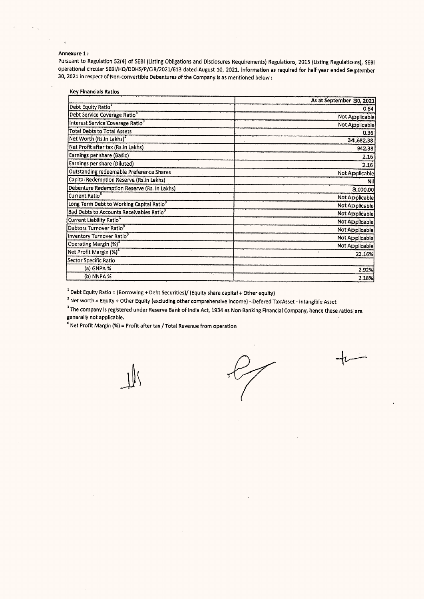## Annexure 1:

Pursuant to Regulation 52(4) of SEBI (Listing Obligations and Disclosures Requirements) Regulations, 2015 (Listing Regulatioms), SEBI operational circular SEBI/HO/DDHS/P/CIR/2021/613 dated August 10, 2021, information as required for half year ended September 30, 2021 in respect of Non-convertible Debentures of the Company Is as mentioned below ;

| <b>Key Financials Ratios</b>                    |                          |
|-------------------------------------------------|--------------------------|
|                                                 | As at September 30, 2021 |
| Debt Equity Ratio <sup>1</sup>                  | 0.64                     |
| Debt Service Coverage Ratio <sup>3</sup>        | Not Applicable           |
| Interest Service Coverage Ratio <sup>3</sup>    | Not Applicable           |
| <b>Total Debts to Total Assets</b>              | 0.36                     |
| Net Worth (Rs.in Lakhs) <sup>2</sup>            | 34,682.38                |
| Net Profit after tax (Rs.in Lakhs)              | 942.38                   |
| Earnings per share (Basic)                      | 2.16                     |
| Earnings per share (Diluted)                    | 2.16                     |
| <b>Outstanding redeemable Preference Shares</b> | Not Applicable           |
| Capital Redemption Reserve (Rs.in Lakhs)        | Nil                      |
| Debenture Redemption Reserve (Rs. in Lakhs)     | 3,000.00                 |
| Current Ratio <sup>3</sup>                      | Not Applicable           |
| Long Term Debt to Working Capital Ratio3        | Not Applicable           |
| Bad Debts to Accounts Receivables Ratio3        | Not Applicable           |
| Current Liability Ratio <sup>3</sup>            | Not Applicable           |
| Debtors Turnover Ratio <sup>3</sup>             | Not Applicable           |
| Inventory Turnover Ratio <sup>3</sup>           | Not Applicable           |
| Operating Margin (%) <sup>3</sup>               | Not Applicable           |
| Net Profit Margin (%) <sup>4</sup>              | ¥.<br>22.16%             |
| Sector Specific Ratio                           |                          |
| (a) GNPA %                                      | 2.92%                    |
| (b) NNPA %                                      | 2.18%                    |

 $^1$  Debt Equity Ratio = (Borrowing + Debt Securities)/ (Equity share capital + Other equity)

? Net worth = Equity + Other Equity (excluding other comprehensive Income) - Defered Tax Asset - Intangible Asset

<sup>3</sup> The company is registered under Reserve Bank of India Act, 1934 as Non Banking Financial Company, hence these ratios are  $\blacksquare$  generally not applicable.  $\blacksquare$ —

' Net Profit Margin (%) = Profit after tax / Total Revenue from operation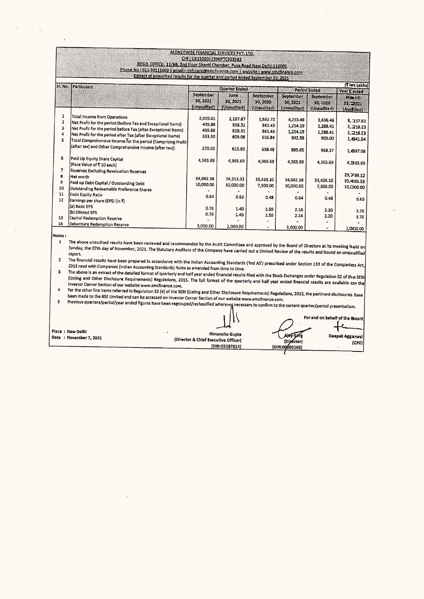|                                    | REGD. OFFICE: 11/6B, 2nd Floor Shanti Chamber, Pusa Road New Delhi-110005<br>Phone No t 011-30111000   email t nofccare@smcfinance.com   website t www.smcfinance.com<br>Extract of unaudited results for the quarter and period ended September 30, 2021                                                                                                          | CIN: U51909DL1996PTC353582                       | MONEYWISE FINANCIAL SERVICES PVT. LTD.           |                                                  |                                                      |                                                      |                                                            |
|------------------------------------|--------------------------------------------------------------------------------------------------------------------------------------------------------------------------------------------------------------------------------------------------------------------------------------------------------------------------------------------------------------------|--------------------------------------------------|--------------------------------------------------|--------------------------------------------------|------------------------------------------------------|------------------------------------------------------|------------------------------------------------------------|
| Sr. No.<br>Particulars             |                                                                                                                                                                                                                                                                                                                                                                    | <b>Quarter Ended</b>                             |                                                  |                                                  | Period Ended                                         | ( lan Lakhs)                                         |                                                            |
|                                    |                                                                                                                                                                                                                                                                                                                                                                    | September<br>30, 2021<br>(Unaudited)             | June<br>30, 2021<br>(Unaudited)                  | September<br>30, 2020<br>(Unaudited)             | September<br>30, 2021<br>(Unaudited)                 | September<br>30, 2020<br>(Unaudited)                 | Year E inded<br>Maxrch<br>31, 2021<br>(Auctited)           |
| 1<br>$\overline{2}$<br>з<br>4<br>5 | <b>Total Income from Operations</b><br>Net Profit for the period (before Tax and Exceptional Items)<br>Net Profit for the period before Tax (after Exceptional Items)<br>Net Profit for the period after Tax (after Exceptional Items)<br>Total Comprehensive Income for the period (Comprising Profit)<br>(after tax) and Other Comprehensive Income (after tax)) | 2.055.61<br>435.88<br>435.88<br>333.30<br>270.05 | 2,197.87<br>818.31<br>818.31<br>609.08<br>615.60 | 1,862.72<br>881.43<br>881.43<br>656.84<br>658.48 | 4,253.48<br>1,254.19<br>1,254.19<br>942.38<br>885.65 | 3,636.46<br>1,288.41<br>1,288.41<br>959.00<br>968.37 | 8, 157.61<br>2, 218.23<br>2,218.23<br>1,641.54<br>1,697.08 |
| 6<br>7<br>8<br>9<br>10             | Paid Up Equity Share Capital<br>(Face Value of ₹ 10 each)<br>Reserves Excluding Revaluation Reserves<br>İNet worth<br>Paid up Debt Capital / Outstanding Debt<br>Outstanding Redeemable Preference Shares                                                                                                                                                          | 4.365.69<br>34,682.38<br>10,000.00               | 4,365.69<br>34,213.32<br>10,000.00               | 4,365.69<br>33,426.10<br>7,500.00                | 4,365.69<br>34,682.38<br>10,000.00                   | 4,365.69<br>33,426.10<br>7,500.00                    | 4,365.69<br>29,789.12<br>33,493.53<br>10,000.00            |
| 11<br>12<br>13<br>14               | Debt Equity Ratio<br>Earnings per share (EPS) (in ₹)<br>(a) Basic EPS<br>(b) Diluted EPS<br>Capital Redemption Reserve                                                                                                                                                                                                                                             | 0.64<br>0.76<br>0.76                             | 0.63<br>1.40<br>1.40                             | 0.48<br>1.50<br>1.50                             | 0.64<br>2.16<br>2.16                                 | 0.48<br>2.20<br>2.20                                 | 0.65<br>3.76<br>3.76                                       |
| Notes :<br>1                       | Debenture Redemption Reserve<br>The above unaudited results have been reviewed and recommended by the Audit Committee and approved by the Board of Directors at its meeting held on<br>Sunday, the O7th day of November. 2021. The Statutory Auditors of the Company have contact in the United States and                                                         | 3,000.00                                         | 2,000.00                                         |                                                  | 3,000.00                                             |                                                      |                                                            |

 $\epsilon$  ,  $\epsilon$ 

 $\bar{\alpha}$ 

 $\mathcal{L}$ 

 $\vec{r}_{-1}$ 

The Statutory Auditors of the Company have carried out a Limited Review of the results and issued an unqualified report.  $\overline{\mathbf{2}}$ 

report.<br>The financial results have been prepared in accordance with the Indian Accounting Standards ('Ind AS') prescribed under Section 133 of the Companies Act, 2013 read with Companies (Indian Accounting Standards) Rules as amended from time to time.  $\overline{\mathbf{3}}$ 

The above is an extract of the detailed format of quarterly and half year ended financial results filed with the Stock Exchanges under Regulation 52 of the SEBI (listing and Other Disclosure Requirements) Regulations, 2015. The full format of the quarterly and half year ended financial results are available on the Investor Corner Section of our website www.smcfinance.com.  $\overline{4}$ 

mvestor Currer section of our website www.sinciniance.com.<br>For the other line items referred in Regulation 52 (4) of the SEBI (Listing and Other Disclosure Requirements) Regulations, 2015, the pertinent disclosures have been made to the BSE Limited and can be accessed on investor Corner Section of our website www.smcfinance.com.  $\overline{\mathbf{s}}$ 

Decirmate to the our anticod international conservation in comparison of the processary to confirm to the current quarter/period presentation.

For and on behalf of the Board Place : New Delhi Himanshu Gupta Aley Gare<br>(Dipector) Deepak Aggarwal Date : November 7, 2021 (Director & Chief Executive Officer)  $(CFO)$  $(DIN:03187614)$ (DIN:00003166)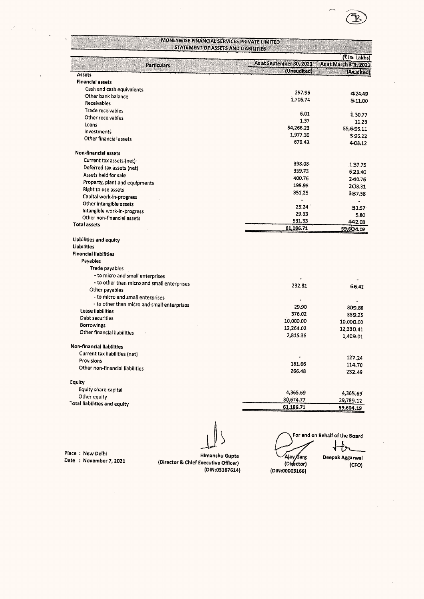

 $\sim$ 

Place : New Delhi<br>Date : November 7, 2021 (Director & Chief Executive Officer) (DIN:03187614)

 Ajay Sarg For and on Behalf of the Board Deepak Aggarwal

(Digector) (DIN:00003166)

(CFO)